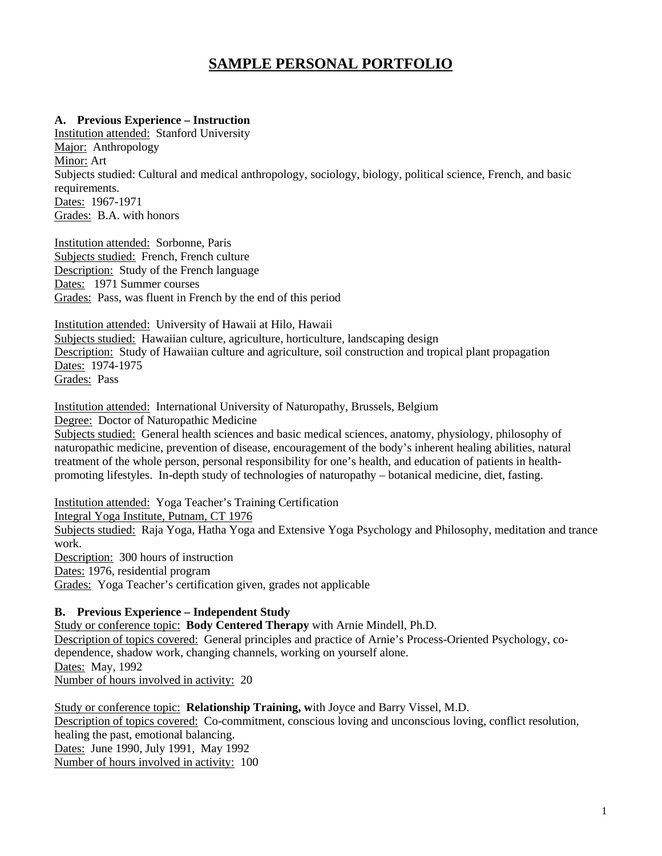# **SAMPLE PERSONAL PORTFOLIO**

#### **A. Previous Experience – Instruction**

Institution attended: Stanford University Major: Anthropology Minor: Art Subjects studied: Cultural and medical anthropology, sociology, biology, political science, French, and basic requirements. Dates: 1967-1971 Grades: B.A. with honors

Institution attended: Sorbonne, Paris Subjects studied: French, French culture Description: Study of the French language Dates: 1971 Summer courses Grades: Pass, was fluent in French by the end of this period

Institution attended: University of Hawaii at Hilo, Hawaii Subjects studied: Hawaiian culture, agriculture, horticulture, landscaping design Description: Study of Hawaiian culture and agriculture, soil construction and tropical plant propagation Dates: 1974-1975 Grades: Pass

Institution attended: International University of Naturopathy, Brussels, Belgium

Degree: Doctor of Naturopathic Medicine

Subjects studied: General health sciences and basic medical sciences, anatomy, physiology, philosophy of naturopathic medicine, prevention of disease, encouragement of the body's inherent healing abilities, natural treatment of the whole person, personal responsibility for one's health, and education of patients in healthpromoting lifestyles. In-depth study of technologies of naturopathy – botanical medicine, diet, fasting.

Institution attended: Yoga Teacher's Training Certification Integral Yoga Institute, Putnam, CT 1976 Subjects studied: Raja Yoga, Hatha Yoga and Extensive Yoga Psychology and Philosophy, meditation and trance work. Description: 300 hours of instruction Dates: 1976, residential program Grades: Yoga Teacher's certification given, grades not applicable

#### **B. Previous Experience – Independent Study**

Study or conference topic: **Body Centered Therapy** with Arnie Mindell, Ph.D. Description of topics covered: General principles and practice of Arnie's Process-Oriented Psychology, codependence, shadow work, changing channels, working on yourself alone. Dates: May, 1992 Number of hours involved in activity: 20

Study or conference topic: **Relationship Training, w**ith Joyce and Barry Vissel, M.D. Description of topics covered: Co-commitment, conscious loving and unconscious loving, conflict resolution, healing the past, emotional balancing. Dates: June 1990, July 1991, May 1992 Number of hours involved in activity: 100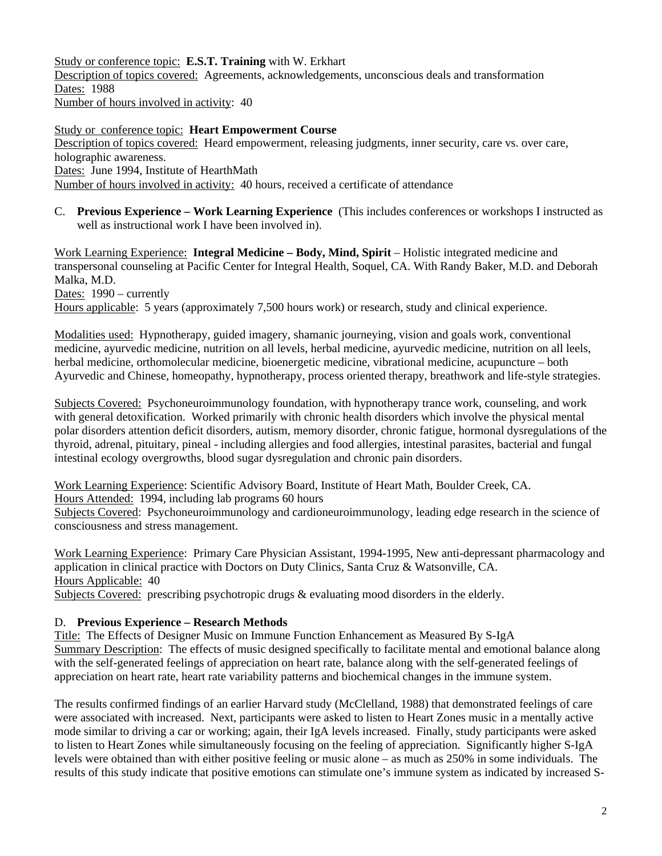Study or conference topic: **E.S.T. Training** with W. Erkhart Description of topics covered: Agreements, acknowledgements, unconscious deals and transformation Dates: 1988 Number of hours involved in activity: 40

Study or conference topic: **Heart Empowerment Course** Description of topics covered: Heard empowerment, releasing judgments, inner security, care vs. over care, holographic awareness. Dates: June 1994, Institute of HearthMath Number of hours involved in activity: 40 hours, received a certificate of attendance

C. **Previous Experience – Work Learning Experience** (This includes conferences or workshops I instructed as well as instructional work I have been involved in).

Work Learning Experience: **Integral Medicine – Body, Mind, Spirit** – Holistic integrated medicine and transpersonal counseling at Pacific Center for Integral Health, Soquel, CA. With Randy Baker, M.D. and Deborah Malka, M.D.

Dates: 1990 – currently

Hours applicable: 5 years (approximately 7,500 hours work) or research, study and clinical experience.

Modalities used: Hypnotherapy, guided imagery, shamanic journeying, vision and goals work, conventional medicine, ayurvedic medicine, nutrition on all levels, herbal medicine, ayurvedic medicine, nutrition on all leels, herbal medicine, orthomolecular medicine, bioenergetic medicine, vibrational medicine, acupuncture – both Ayurvedic and Chinese, homeopathy, hypnotherapy, process oriented therapy, breathwork and life-style strategies.

Subjects Covered: Psychoneuroimmunology foundation, with hypnotherapy trance work, counseling, and work with general detoxification. Worked primarily with chronic health disorders which involve the physical mental polar disorders attention deficit disorders, autism, memory disorder, chronic fatigue, hormonal dysregulations of the thyroid, adrenal, pituitary, pineal - including allergies and food allergies, intestinal parasites, bacterial and fungal intestinal ecology overgrowths, blood sugar dysregulation and chronic pain disorders.

Work Learning Experience: Scientific Advisory Board, Institute of Heart Math, Boulder Creek, CA. Hours Attended: 1994, including lab programs 60 hours

Subjects Covered: Psychoneuroimmunology and cardioneuroimmunology, leading edge research in the science of consciousness and stress management.

Work Learning Experience: Primary Care Physician Assistant, 1994-1995, New anti-depressant pharmacology and application in clinical practice with Doctors on Duty Clinics, Santa Cruz & Watsonville, CA. Hours Applicable: 40

Subjects Covered: prescribing psychotropic drugs  $\&$  evaluating mood disorders in the elderly.

#### D. **Previous Experience – Research Methods**

Title: The Effects of Designer Music on Immune Function Enhancement as Measured By S-IgA Summary Description: The effects of music designed specifically to facilitate mental and emotional balance along with the self-generated feelings of appreciation on heart rate, balance along with the self-generated feelings of appreciation on heart rate, heart rate variability patterns and biochemical changes in the immune system.

The results confirmed findings of an earlier Harvard study (McClelland, 1988) that demonstrated feelings of care were associated with increased. Next, participants were asked to listen to Heart Zones music in a mentally active mode similar to driving a car or working; again, their IgA levels increased. Finally, study participants were asked to listen to Heart Zones while simultaneously focusing on the feeling of appreciation. Significantly higher S-IgA levels were obtained than with either positive feeling or music alone – as much as 250% in some individuals. The results of this study indicate that positive emotions can stimulate one's immune system as indicated by increased S-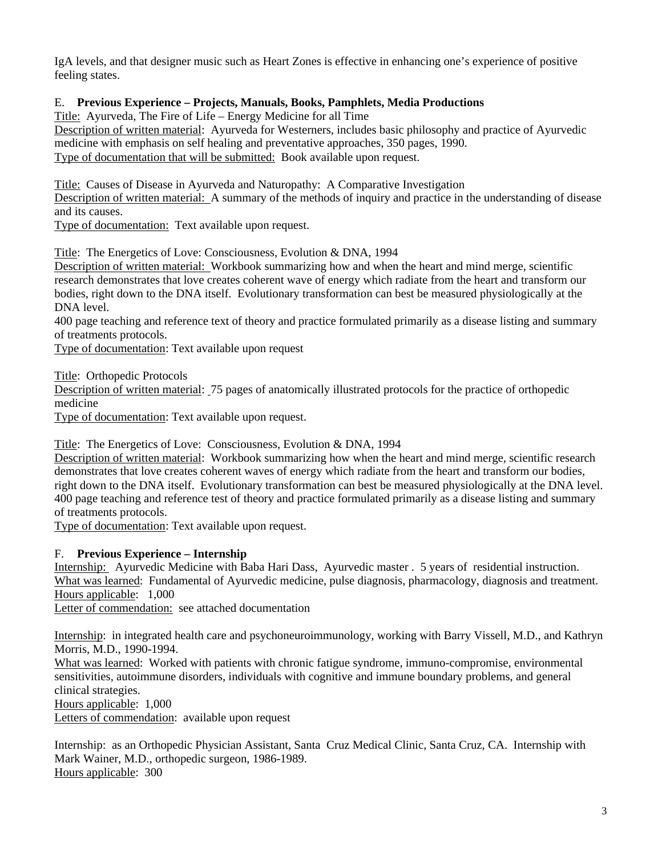IgA levels, and that designer music such as Heart Zones is effective in enhancing one's experience of positive feeling states.

## E. **Previous Experience – Projects, Manuals, Books, Pamphlets, Media Productions**

Title: Ayurveda, The Fire of Life – Energy Medicine for all Time

Description of written material: Ayurveda for Westerners, includes basic philosophy and practice of Ayurvedic medicine with emphasis on self healing and preventative approaches, 350 pages, 1990. Type of documentation that will be submitted: Book available upon request.

Title: Causes of Disease in Ayurveda and Naturopathy: A Comparative Investigation

Description of written material: A summary of the methods of inquiry and practice in the understanding of disease and its causes.

Type of documentation: Text available upon request.

Title: The Energetics of Love: Consciousness, Evolution & DNA, 1994

Description of written material: Workbook summarizing how and when the heart and mind merge, scientific research demonstrates that love creates coherent wave of energy which radiate from the heart and transform our bodies, right down to the DNA itself. Evolutionary transformation can best be measured physiologically at the DNA level.

400 page teaching and reference text of theory and practice formulated primarily as a disease listing and summary of treatments protocols.

Type of documentation: Text available upon request

Title: Orthopedic Protocols

Description of written material: 75 pages of anatomically illustrated protocols for the practice of orthopedic medicine

Type of documentation: Text available upon request.

Title: The Energetics of Love: Consciousness, Evolution & DNA, 1994

Description of written material: Workbook summarizing how when the heart and mind merge, scientific research demonstrates that love creates coherent waves of energy which radiate from the heart and transform our bodies, right down to the DNA itself. Evolutionary transformation can best be measured physiologically at the DNA level. 400 page teaching and reference test of theory and practice formulated primarily as a disease listing and summary of treatments protocols.

Type of documentation: Text available upon request.

## F. **Previous Experience – Internship**

Internship: Ayurvedic Medicine with Baba Hari Dass, Ayurvedic master . 5 years of residential instruction. What was learned: Fundamental of Ayurvedic medicine, pulse diagnosis, pharmacology, diagnosis and treatment. Hours applicable: 1,000

Letter of commendation: see attached documentation

Internship: in integrated health care and psychoneuroimmunology, working with Barry Vissell, M.D., and Kathryn Morris, M.D., 1990-1994.

What was learned: Worked with patients with chronic fatigue syndrome, immuno-compromise, environmental sensitivities, autoimmune disorders, individuals with cognitive and immune boundary problems, and general clinical strategies.

Hours applicable: 1,000

Letters of commendation: available upon request

Internship: as an Orthopedic Physician Assistant, Santa Cruz Medical Clinic, Santa Cruz, CA. Internship with Mark Wainer, M.D., orthopedic surgeon, 1986-1989. Hours applicable: 300